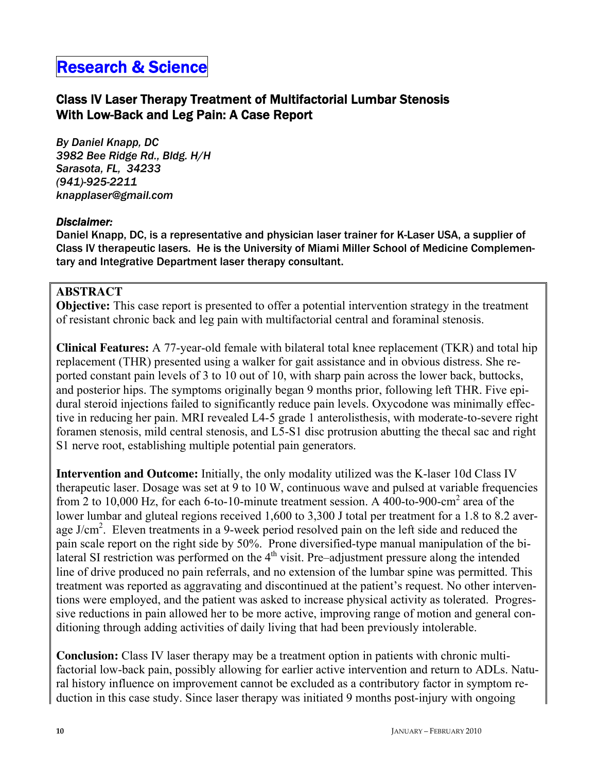# Research & Science

## Class IV Laser Therapy Treatment of Multifactorial Lumbar Stenosis With Low-Back and Leg Pain: A Case Report

*By Daniel Knapp, DC 3982 Bee Ridge Rd., Bldg. H/H Sarasota, FL, 34233 (941)-925-2211 knapplaser@gmail.com* 

#### *Disclaimer:*

Daniel Knapp, DC, is a representative and physician laser trainer for K-Laser USA, a supplier of Class IV therapeutic lasers. He is the University of Miami Miller School of Medicine Complementary and Integrative Department laser therapy consultant.

## **ABSTRACT**

**Objective:** This case report is presented to offer a potential intervention strategy in the treatment of resistant chronic back and leg pain with multifactorial central and foraminal stenosis.

**Clinical Features:** A 77-year-old female with bilateral total knee replacement (TKR) and total hip replacement (THR) presented using a walker for gait assistance and in obvious distress. She reported constant pain levels of 3 to 10 out of 10, with sharp pain across the lower back, buttocks, and posterior hips. The symptoms originally began 9 months prior, following left THR. Five epidural steroid injections failed to significantly reduce pain levels. Oxycodone was minimally effective in reducing her pain. MRI revealed L4-5 grade 1 anterolisthesis, with moderate-to-severe right foramen stenosis, mild central stenosis, and L5-S1 disc protrusion abutting the thecal sac and right S1 nerve root, establishing multiple potential pain generators.

**Intervention and Outcome:** Initially, the only modality utilized was the K-laser 10d Class IV therapeutic laser. Dosage was set at 9 to 10 W, continuous wave and pulsed at variable frequencies from 2 to 10,000 Hz, for each 6-to-10-minute treatment session. A 400-to-900-cm<sup>2</sup> area of the lower lumbar and gluteal regions received 1,600 to 3,300 J total per treatment for a 1.8 to 8.2 average J/cm<sup>2</sup>. Eleven treatments in a 9-week period resolved pain on the left side and reduced the pain scale report on the right side by 50%. Prone diversified-type manual manipulation of the bilateral SI restriction was performed on the  $4<sup>th</sup>$  visit. Pre–adjustment pressure along the intended line of drive produced no pain referrals, and no extension of the lumbar spine was permitted. This treatment was reported as aggravating and discontinued at the patient's request. No other interventions were employed, and the patient was asked to increase physical activity as tolerated. Progressive reductions in pain allowed her to be more active, improving range of motion and general conditioning through adding activities of daily living that had been previously intolerable.

**Conclusion:** Class IV laser therapy may be a treatment option in patients with chronic multifactorial low-back pain, possibly allowing for earlier active intervention and return to ADLs. Natural history influence on improvement cannot be excluded as a contributory factor in symptom reduction in this case study. Since laser therapy was initiated 9 months post-injury with ongoing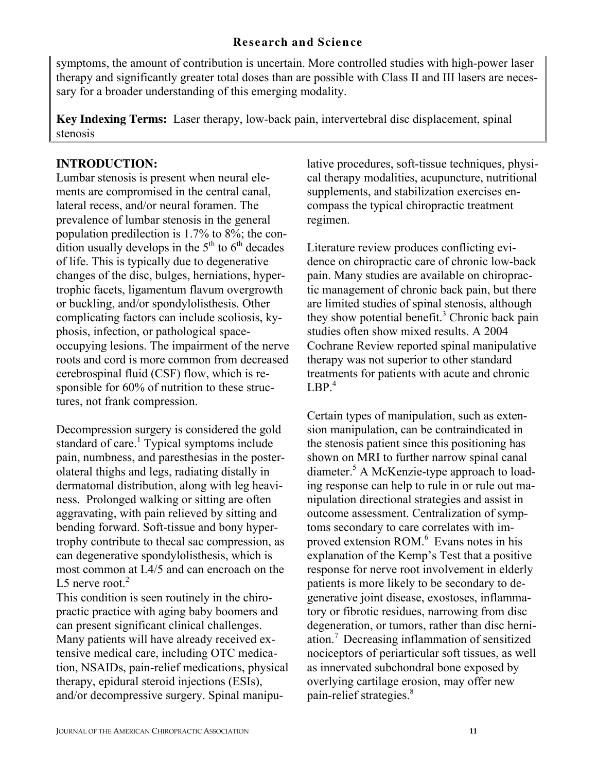symptoms, the amount of contribution is uncertain. More controlled studies with high-power laser therapy and significantly greater total doses than are possible with Class II and III lasers are necessary for a broader understanding of this emerging modality.

**Key Indexing Terms:** Laser therapy, low-back pain, intervertebral disc displacement, spinal stenosis

## **INTRODUCTION:**

Lumbar stenosis is present when neural elements are compromised in the central canal, lateral recess, and/or neural foramen. The prevalence of lumbar stenosis in the general population predilection is 1.7% to 8%; the condition usually develops in the  $5<sup>th</sup>$  to  $6<sup>th</sup>$  decades of life. This is typically due to degenerative changes of the disc, bulges, herniations, hypertrophic facets, ligamentum flavum overgrowth or buckling, and/or spondylolisthesis. Other complicating factors can include scoliosis, kyphosis, infection, or pathological spaceoccupying lesions. The impairment of the nerve roots and cord is more common from decreased cerebrospinal fluid (CSF) flow, which is responsible for 60% of nutrition to these structures, not frank compression.

Decompression surgery is considered the gold standard of care.<sup>1</sup> Typical symptoms include pain, numbness, and paresthesias in the posterolateral thighs and legs, radiating distally in dermatomal distribution, along with leg heaviness. Prolonged walking or sitting are often aggravating, with pain relieved by sitting and bending forward. Soft-tissue and bony hypertrophy contribute to thecal sac compression, as can degenerative spondylolisthesis, which is most common at L4/5 and can encroach on the L5 nerve root. $2$ 

This condition is seen routinely in the chiropractic practice with aging baby boomers and can present significant clinical challenges. Many patients will have already received extensive medical care, including OTC medication, NSAIDs, pain-relief medications, physical therapy, epidural steroid injections (ESIs), and/or decompressive surgery. Spinal manipulative procedures, soft-tissue techniques, physical therapy modalities, acupuncture, nutritional supplements, and stabilization exercises encompass the typical chiropractic treatment regimen.

Literature review produces conflicting evidence on chiropractic care of chronic low-back pain. Many studies are available on chiropractic management of chronic back pain, but there are limited studies of spinal stenosis, although they show potential benefit.<sup>3</sup> Chronic back pain studies often show mixed results. A 2004 Cochrane Review reported spinal manipulative therapy was not superior to other standard treatments for patients with acute and chronic  $LBP.<sup>4</sup>$ 

Certain types of manipulation, such as extension manipulation, can be contraindicated in the stenosis patient since this positioning has shown on MRI to further narrow spinal canal diameter.<sup>5</sup> A McKenzie-type approach to loading response can help to rule in or rule out manipulation directional strategies and assist in outcome assessment. Centralization of symptoms secondary to care correlates with improved extension  $ROM<sup>6</sup>$  Evans notes in his explanation of the Kemp's Test that a positive response for nerve root involvement in elderly patients is more likely to be secondary to degenerative joint disease, exostoses, inflammatory or fibrotic residues, narrowing from disc degeneration, or tumors, rather than disc herniation.<sup>7</sup>Decreasing inflammation of sensitized nociceptors of periarticular soft tissues, as well as innervated subchondral bone exposed by overlying cartilage erosion, may offer new pain-relief strategies.<sup>8</sup>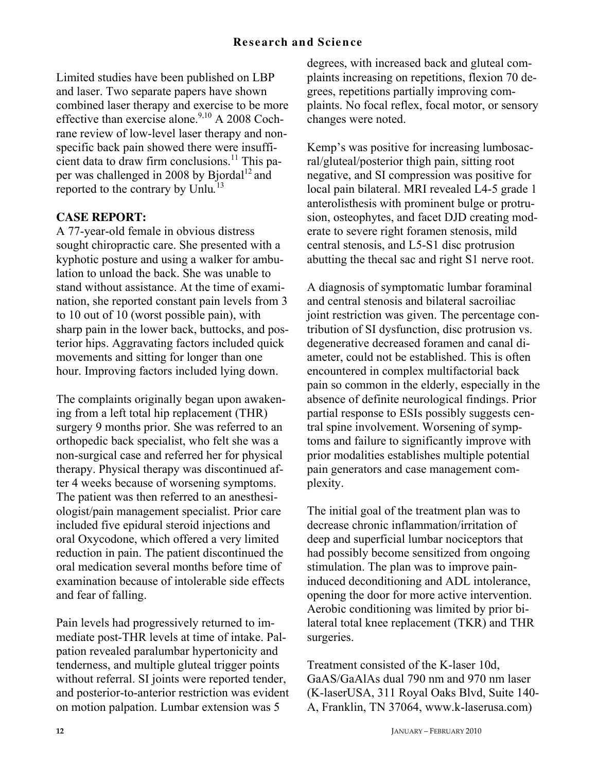Limited studies have been published on LBP and laser. Two separate papers have shown combined laser therapy and exercise to be more effective than exercise alone.<sup>9,10</sup> A 2008 Cochrane review of low-level laser therapy and nonspecific back pain showed there were insufficient data to draw firm conclusions.<sup>11</sup> This paper was challenged in 2008 by Bjordal<sup>12</sup> and reported to the contrary by Unlu*.* 13

## **CASE REPORT:**

A 77-year-old female in obvious distress sought chiropractic care. She presented with a kyphotic posture and using a walker for ambulation to unload the back. She was unable to stand without assistance. At the time of examination, she reported constant pain levels from 3 to 10 out of 10 (worst possible pain), with sharp pain in the lower back, buttocks, and posterior hips. Aggravating factors included quick movements and sitting for longer than one hour. Improving factors included lying down.

The complaints originally began upon awakening from a left total hip replacement (THR) surgery 9 months prior. She was referred to an orthopedic back specialist, who felt she was a non-surgical case and referred her for physical therapy. Physical therapy was discontinued after 4 weeks because of worsening symptoms. The patient was then referred to an anesthesiologist/pain management specialist. Prior care included five epidural steroid injections and oral Oxycodone, which offered a very limited reduction in pain. The patient discontinued the oral medication several months before time of examination because of intolerable side effects and fear of falling.

Pain levels had progressively returned to immediate post-THR levels at time of intake. Palpation revealed paralumbar hypertonicity and tenderness, and multiple gluteal trigger points without referral. SI joints were reported tender, and posterior-to-anterior restriction was evident on motion palpation. Lumbar extension was 5

degrees, with increased back and gluteal complaints increasing on repetitions, flexion 70 degrees, repetitions partially improving complaints. No focal reflex, focal motor, or sensory changes were noted.

Kemp's was positive for increasing lumbosacral/gluteal/posterior thigh pain, sitting root negative, and SI compression was positive for local pain bilateral. MRI revealed L4-5 grade 1 anterolisthesis with prominent bulge or protrusion, osteophytes, and facet DJD creating moderate to severe right foramen stenosis, mild central stenosis, and L5-S1 disc protrusion abutting the thecal sac and right S1 nerve root.

A diagnosis of symptomatic lumbar foraminal and central stenosis and bilateral sacroiliac joint restriction was given. The percentage contribution of SI dysfunction, disc protrusion vs. degenerative decreased foramen and canal diameter, could not be established. This is often encountered in complex multifactorial back pain so common in the elderly, especially in the absence of definite neurological findings. Prior partial response to ESIs possibly suggests central spine involvement. Worsening of symptoms and failure to significantly improve with prior modalities establishes multiple potential pain generators and case management complexity.

The initial goal of the treatment plan was to decrease chronic inflammation/irritation of deep and superficial lumbar nociceptors that had possibly become sensitized from ongoing stimulation. The plan was to improve paininduced deconditioning and ADL intolerance, opening the door for more active intervention. Aerobic conditioning was limited by prior bilateral total knee replacement (TKR) and THR surgeries.

Treatment consisted of the K-laser 10d, GaAS/GaAlAs dual 790 nm and 970 nm laser (K-laserUSA, 311 Royal Oaks Blvd, Suite 140- A, Franklin, TN 37064, www.k-laserusa.com)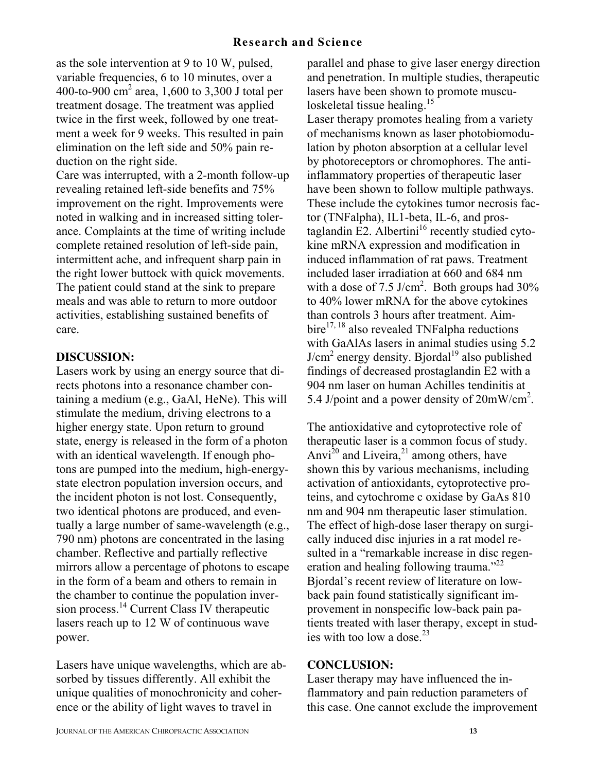as the sole intervention at 9 to 10 W, pulsed, variable frequencies, 6 to 10 minutes, over a 400-to-900  $\text{cm}^2$  area, 1,600 to 3,300 J total per treatment dosage. The treatment was applied twice in the first week, followed by one treatment a week for 9 weeks. This resulted in pain elimination on the left side and 50% pain reduction on the right side.

Care was interrupted, with a 2-month follow-up revealing retained left-side benefits and 75% improvement on the right. Improvements were noted in walking and in increased sitting tolerance. Complaints at the time of writing include complete retained resolution of left-side pain, intermittent ache, and infrequent sharp pain in the right lower buttock with quick movements. The patient could stand at the sink to prepare meals and was able to return to more outdoor activities, establishing sustained benefits of care.

## **DISCUSSION:**

Lasers work by using an energy source that directs photons into a resonance chamber containing a medium (e.g., GaAl, HeNe). This will stimulate the medium, driving electrons to a higher energy state. Upon return to ground state, energy is released in the form of a photon with an identical wavelength. If enough photons are pumped into the medium, high-energystate electron population inversion occurs, and the incident photon is not lost. Consequently, two identical photons are produced, and eventually a large number of same-wavelength (e.g., 790 nm) photons are concentrated in the lasing chamber. Reflective and partially reflective mirrors allow a percentage of photons to escape in the form of a beam and others to remain in the chamber to continue the population inversion process.<sup>14</sup> Current Class IV therapeutic lasers reach up to 12 W of continuous wave power.

Lasers have unique wavelengths, which are absorbed by tissues differently. All exhibit the unique qualities of monochronicity and coherence or the ability of light waves to travel in

parallel and phase to give laser energy direction and penetration. In multiple studies, therapeutic lasers have been shown to promote musculoskeletal tissue healing.<sup>15</sup> Laser therapy promotes healing from a variety of mechanisms known as laser photobiomodulation by photon absorption at a cellular level by photoreceptors or chromophores. The antiinflammatory properties of therapeutic laser have been shown to follow multiple pathways. These include the cytokines tumor necrosis factor (TNFalpha), IL1-beta, IL-6, and prostaglandin  $E2$ . Albertini<sup>16</sup> recently studied cytokine mRNA expression and modification in induced inflammation of rat paws. Treatment included laser irradiation at 660 and 684 nm with a dose of 7.5 J/cm<sup>2</sup>. Both groups had  $30\%$ to 40% lower mRNA for the above cytokines than controls 3 hours after treatment. Aim $bire^{17, 18}$  also revealed TNFalpha reductions with GaAlAs lasers in animal studies using 5.2  $J/cm<sup>2</sup>$  energy density. Bjordal<sup>19</sup> also published findings of decreased prostaglandin E2 with a 904 nm laser on human Achilles tendinitis at 5.4 J/point and a power density of  $20 \text{mW/cm}^2$ .

The antioxidative and cytoprotective role of therapeutic laser is a common focus of study. Anvi<sup>20</sup> and Liveira,<sup>21</sup> among others, have shown this by various mechanisms, including activation of antioxidants, cytoprotective proteins, and cytochrome c oxidase by GaAs 810 nm and 904 nm therapeutic laser stimulation. The effect of high-dose laser therapy on surgically induced disc injuries in a rat model resulted in a "remarkable increase in disc regeneration and healing following trauma."<sup>22</sup> Bjordal's recent review of literature on lowback pain found statistically significant improvement in nonspecific low-back pain patients treated with laser therapy, except in studies with too low a dose. $^{23}$ 

## **CONCLUSION:**

Laser therapy may have influenced the inflammatory and pain reduction parameters of this case. One cannot exclude the improvement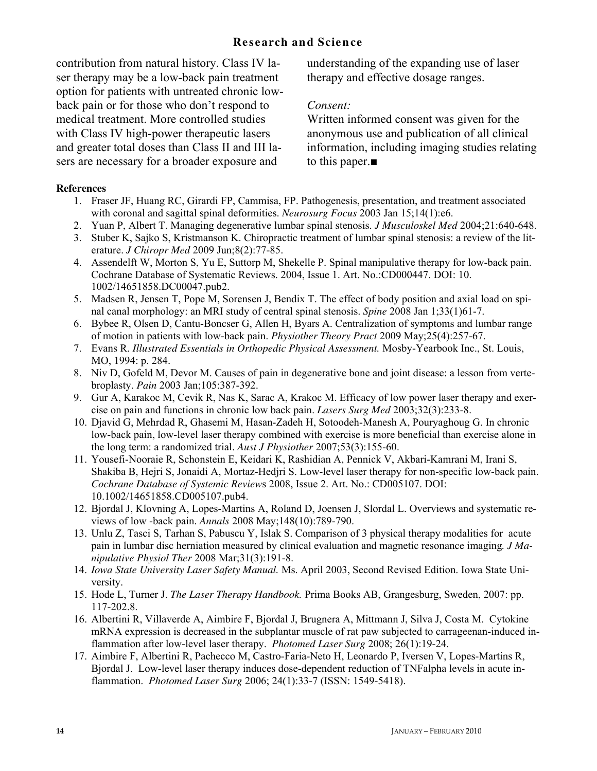## **Research and Science**

contribution from natural history. Class IV laser therapy may be a low-back pain treatment option for patients with untreated chronic lowback pain or for those who don't respond to medical treatment. More controlled studies with Class IV high-power therapeutic lasers and greater total doses than Class II and III lasers are necessary for a broader exposure and

understanding of the expanding use of laser therapy and effective dosage ranges.

### *Consent:*

Written informed consent was given for the anonymous use and publication of all clinical information, including imaging studies relating to this paper.■

#### **References**

- 1. Fraser JF, Huang RC, Girardi FP, Cammisa, FP. Pathogenesis, presentation, and treatment associated with coronal and sagittal spinal deformities. *Neurosurg Focus* 2003 Jan 15;14(1):e6.
- 2. Yuan P, Albert T. Managing degenerative lumbar spinal stenosis. *J Musculoskel Med* 2004;21:640-648.
- 3. Stuber K, Sajko S, Kristmanson K. Chiropractic treatment of lumbar spinal stenosis: a review of the literature. *J Chiropr Med* 2009 Jun;8(2):77-85.
- 4. Assendelft W, Morton S, Yu E, Suttorp M, Shekelle P. Spinal manipulative therapy for low-back pain. Cochrane Database of Systematic Reviews. 2004, Issue 1. Art. No.:CD000447. DOI: 10. 1002/14651858.DC00047.pub2.
- 5. Madsen R, Jensen T, Pope M, Sorensen J, Bendix T. The effect of body position and axial load on spinal canal morphology: an MRI study of central spinal stenosis. *Spine* 2008 Jan 1;33(1)61-7.
- 6. Bybee R, Olsen D, Cantu-Boncser G, Allen H, Byars A. Centralization of symptoms and lumbar range of motion in patients with low-back pain. *Physiother Theory Pract* 2009 May;25(4):257-67.
- 7. Evans R. *Illustrated Essentials in Orthopedic Physical Assessment.* Mosby-Yearbook Inc., St. Louis, MO, 1994: p. 284.
- 8. Niv D, Gofeld M, Devor M. Causes of pain in degenerative bone and joint disease: a lesson from vertebroplasty. *Pain* 2003 Jan;105:387-392.
- 9. Gur A, Karakoc M, Cevik R, Nas K, Sarac A, Krakoc M. Efficacy of low power laser therapy and exercise on pain and functions in chronic low back pain. *Lasers Surg Med* 2003;32(3):233-8.
- 10. Djavid G, Mehrdad R, Ghasemi M, Hasan-Zadeh H, Sotoodeh-Manesh A, Pouryaghoug G. In chronic low-back pain, low-level laser therapy combined with exercise is more beneficial than exercise alone in the long term: a randomized trial. *Aust J Physiother* 2007;53(3):155-60.
- 11. Yousefi-Nooraie R, Schonstein E, Keidari K, Rashidian A, Pennick V, Akbari-Kamrani M, Irani S, Shakiba B, Hejri S, Jonaidi A, Mortaz-Hedjri S. Low-level laser therapy for non-specific low-back pain. *Cochrane Database of Systemic Review*s 2008, Issue 2. Art. No.: CD005107. DOI: 10.1002/14651858.CD005107.pub4.
- 12. Bjordal J, Klovning A, Lopes-Martins A, Roland D, Joensen J, Slordal L. Overviews and systematic reviews of low -back pain. *Annals* 2008 May;148(10):789-790.
- 13. Unlu Z, Tasci S, Tarhan S, Pabuscu Y, Islak S. Comparison of 3 physical therapy modalities for acute pain in lumbar disc herniation measured by clinical evaluation and magnetic resonance imaging*. J Manipulative Physiol Ther* 2008 Mar;31(3):191-8.
- 14. *Iowa State University Laser Safety Manual.* Ms. April 2003, Second Revised Edition. Iowa State University.
- 15. Hode L, Turner J. *The Laser Therapy Handbook.* Prima Books AB, Grangesburg, Sweden, 2007: pp. 117-202.8.
- 16. Albertini R, Villaverde A, Aimbire F, Bjordal J, Brugnera A, Mittmann J, Silva J, Costa M. Cytokine mRNA expression is decreased in the subplantar muscle of rat paw subjected to carrageenan-induced inflammation after low-level laser therapy. *Photomed Laser Surg* 2008; 26(1):19-24.
- 17. Aimbire F, Albertini R, Pachecco M, Castro-Faria-Neto H, Leonardo P, Iversen V, Lopes-Martins R, Bjordal J. Low-level laser therapy induces dose-dependent reduction of TNFalpha levels in acute inflammation. *Photomed Laser Surg* 2006; 24(1):33-7 (ISSN: 1549-5418).